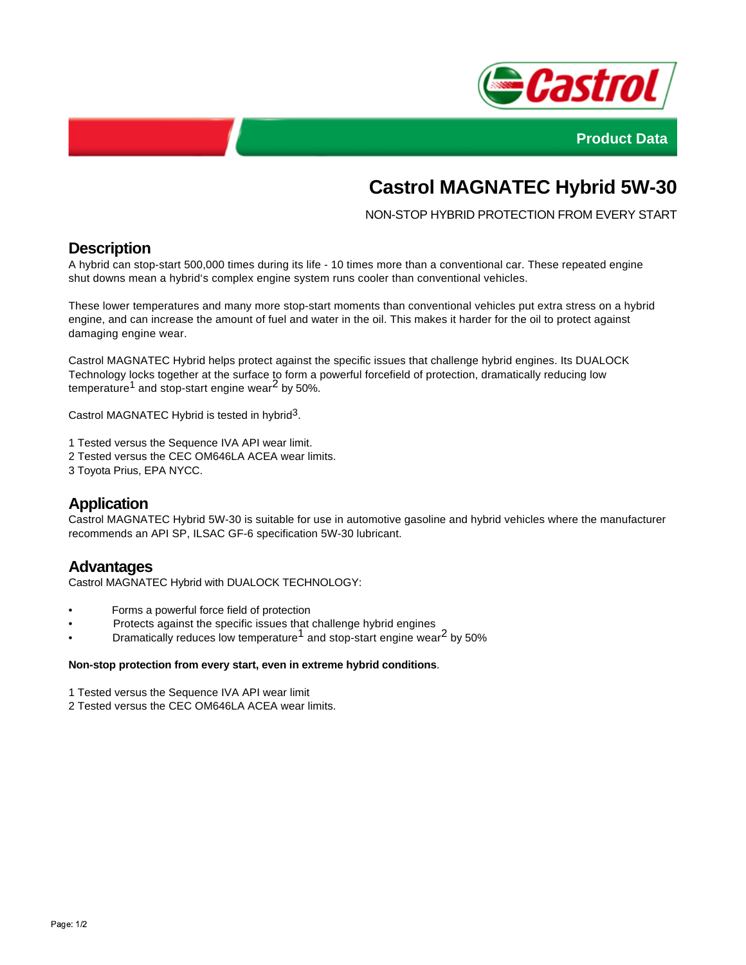



# **Castrol MAGNATEC Hybrid 5W-30**

NON-STOP HYBRID PROTECTION FROM EVERY START

# **Description**

A hybrid can stop-start 500,000 times during its life - 10 times more than a conventional car. These repeated engine shut downs mean a hybrid's complex engine system runs cooler than conventional vehicles.

These lower temperatures and many more stop-start moments than conventional vehicles put extra stress on a hybrid engine, and can increase the amount of fuel and water in the oil. This makes it harder for the oil to protect against damaging engine wear.

Castrol MAGNATEC Hybrid helps protect against the specific issues that challenge hybrid engines. Its DUALOCK Technology locks together at the surface to form a powerful forcefield of protection, dramatically reducing low temperature<sup>1</sup> and stop-start engine wear<sup>2</sup> by 50%.

Castrol MAGNATEC Hybrid is tested in hybrid<sup>3</sup>.

- 1 Tested versus the Sequence IVA API wear limit.
- 2 Tested versus the CEC OM646LA ACEA wear limits.
- 3 Toyota Prius, EPA NYCC.

### **Application**

Castrol MAGNATEC Hybrid 5W-30 is suitable for use in automotive gasoline and hybrid vehicles where the manufacturer recommends an API SP, ILSAC GF-6 specification 5W-30 lubricant.

### **Advantages**

Castrol MAGNATEC Hybrid with DUALOCK TECHNOLOGY:

- Forms a powerful force field of protection
- Protects against the specific issues that challenge hybrid engines
- Dramatically reduces low temperature<sup>1</sup> and stop-start engine wear<sup>2</sup> by 50%

#### **Non-stop protection from every start, even in extreme hybrid conditions**.

- 1 Tested versus the Sequence IVA API wear limit
- 2 Tested versus the CEC OM646LA ACEA wear limits.